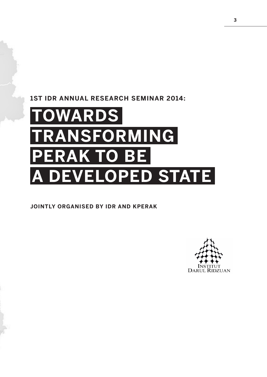### **1ST IDR ANNUAL RESEARCH SEMINAR 2014:**

# **TOWARDS TRANSFORMING PERAK TO BE A DEVELOPED STATE**

#### **JOINTLY ORGANISED BY IDR AND KPERAK**

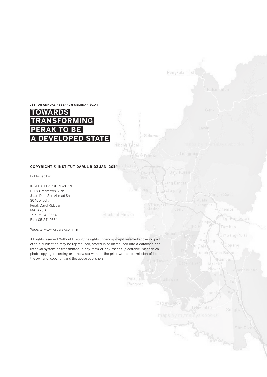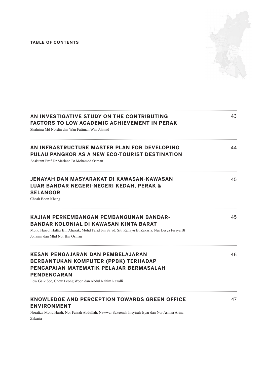#### **TABLE OF CONTENTS**



| AN INVESTIGATIVE STUDY ON THE CONTRIBUTING<br><b>FACTORS TO LOW ACADEMIC ACHIEVEMENT IN PERAK</b><br>Shahrina Md Nordin dan Wan Fatimah Wan Ahmad                                                                       | 43 |
|-------------------------------------------------------------------------------------------------------------------------------------------------------------------------------------------------------------------------|----|
| AN INFRASTRUCTURE MASTER PLAN FOR DEVELOPING<br>PULAU PANGKOR AS A NEW ECO-TOURIST DESTINATION<br>Assistant Prof Dr Mariana Bt Mohamed Osman                                                                            | 44 |
| JENAYAH DAN MASYARAKAT DI KAWASAN-KAWASAN<br>LUAR BANDAR NEGERI-NEGERI KEDAH, PERAK &<br><b>SELANGOR</b><br>Cheah Boon Kheng                                                                                            | 45 |
| KAJIAN PERKEMBANGAN PEMBANGUNAN BANDAR-<br>BANDAR KOLONIAL DI KAWASAN KINTA BARAT<br>Mohd Hasrol Haffiz Bin Aliasak, Mohd Farid bin Sa'ad, Siti Rahayu Bt Zakaria, Nur Lesya Firsya Bt<br>Johaimi dan Mhd Nor Bin Osman | 45 |
| KESAN PENGAJARAN DAN PEMBELAJARAN<br>BERBANTUKAN KOMPUTER (PPBK) TERHADAP<br>PENCAPAIAN MATEMATIK PELAJAR BERMASALAH<br>PENDENGARAN<br>Low Gaik See, Chew Leong Woon dan Abdul Rahim Razalli                            | 46 |
| KNOWLEDGE AND PERCEPTION TOWARDS GREEN OFFICE<br><b>ENVIRONMENT</b><br>Norafiza Mohd Hardi, Nor Faizah Abdullah, Nawwar Sakeenah Insyirah Isyar dan Nor Asmaa Arina                                                     | 47 |

Zakaria